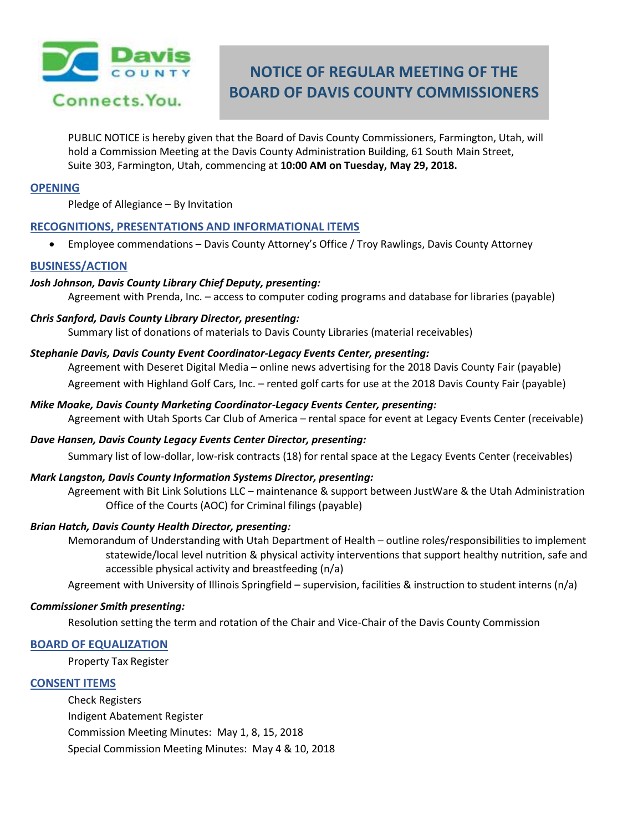

# **NOTICE OF REGULAR MEETING OF THE BOARD OF DAVIS COUNTY COMMISSIONERS**

PUBLIC NOTICE is hereby given that the Board of Davis County Commissioners, Farmington, Utah, will hold a Commission Meeting at the Davis County Administration Building, 61 South Main Street, Suite 303, Farmington, Utah, commencing at **10:00 AM on Tuesday, May 29, 2018.**

#### **OPENING**

Pledge of Allegiance – By Invitation

## **RECOGNITIONS, PRESENTATIONS AND INFORMATIONAL ITEMS**

Employee commendations – Davis County Attorney's Office / Troy Rawlings, Davis County Attorney

#### **BUSINESS/ACTION**

#### *Josh Johnson, Davis County Library Chief Deputy, presenting:*

Agreement with Prenda, Inc. – access to computer coding programs and database for libraries (payable)

#### *Chris Sanford, Davis County Library Director, presenting:*

Summary list of donations of materials to Davis County Libraries (material receivables)

#### *Stephanie Davis, Davis County Event Coordinator-Legacy Events Center, presenting:*

Agreement with Deseret Digital Media – online news advertising for the 2018 Davis County Fair (payable) Agreement with Highland Golf Cars, Inc. – rented golf carts for use at the 2018 Davis County Fair (payable)

- *Mike Moake, Davis County Marketing Coordinator-Legacy Events Center, presenting:* Agreement with Utah Sports Car Club of America – rental space for event at Legacy Events Center (receivable)
- *Dave Hansen, Davis County Legacy Events Center Director, presenting:* Summary list of low-dollar, low-risk contracts (18) for rental space at the Legacy Events Center (receivables)

## *Mark Langston, Davis County Information Systems Director, presenting:*

Agreement with Bit Link Solutions LLC – maintenance & support between JustWare & the Utah Administration Office of the Courts (AOC) for Criminal filings (payable)

#### *Brian Hatch, Davis County Health Director, presenting:*

Memorandum of Understanding with Utah Department of Health – outline roles/responsibilities to implement statewide/local level nutrition & physical activity interventions that support healthy nutrition, safe and accessible physical activity and breastfeeding (n/a)

Agreement with University of Illinois Springfield – supervision, facilities & instruction to student interns (n/a)

#### *Commissioner Smith presenting:*

Resolution setting the term and rotation of the Chair and Vice-Chair of the Davis County Commission

## **BOARD OF EQUALIZATION**

Property Tax Register

## **CONSENT ITEMS**

Check Registers Indigent Abatement Register Commission Meeting Minutes: May 1, 8, 15, 2018 Special Commission Meeting Minutes: May 4 & 10, 2018